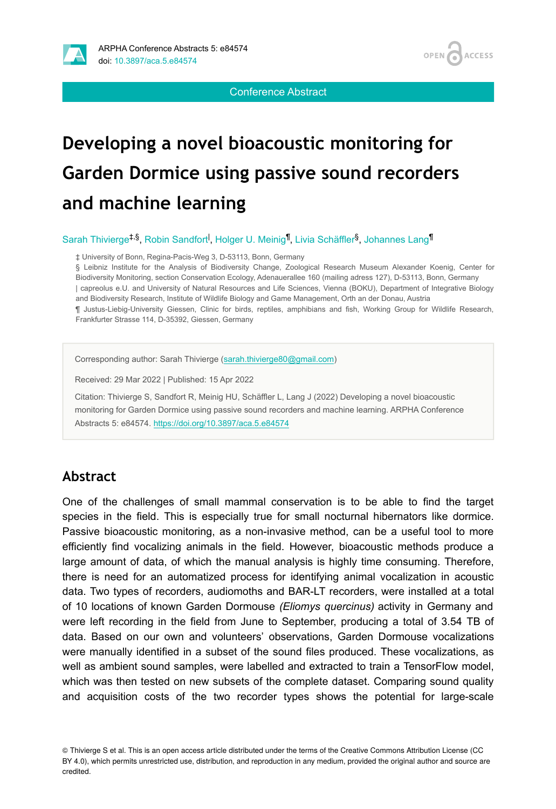

Conference Abstract

**ACCESS** 

**OPEN** 

# **Developing a novel bioacoustic monitoring for Garden Dormice using passive sound recorders and machine learning**

Sarah Thivierge<sup>‡,§</sup>, Robin Sandfort<sup>I</sup>, Holger U. Meinig<sup>¶</sup>, Livia Schäffler<sup>§</sup>, Johannes Lang<sup>¶</sup>

‡ University of Bonn, Regina-Pacis-Weg 3, D-53113, Bonn, Germany

§ Leibniz Institute for the Analysis of Biodiversity Change, Zoological Research Museum Alexander Koenig, Center for Biodiversity Monitoring, section Conservation Ecology, Adenauerallee 160 (mailing adress 127), D-53113, Bonn, Germany | capreolus e.U. and University of Natural Resources and Life Sciences, Vienna (BOKU), Department of Integrative Biology and Biodiversity Research, Institute of Wildlife Biology and Game Management, Orth an der Donau, Austria

¶ Justus-Liebig-University Giessen, Clinic for birds, reptiles, amphibians and fish, Working Group for Wildlife Research, Frankfurter Strasse 114, D-35392, Giessen, Germany

Corresponding author: Sarah Thivierge [\(sarah.thivierge80@gmail.com\)](mailto:sarah.thivierge80@gmail.com)

Received: 29 Mar 2022 | Published: 15 Apr 2022

Citation: Thivierge S, Sandfort R, Meinig HU, Schäffler L, Lang J (2022) Developing a novel bioacoustic monitoring for Garden Dormice using passive sound recorders and machine learning. ARPHA Conference Abstracts 5: e84574.<https://doi.org/10.3897/aca.5.e84574>

#### **Abstract**

One of the challenges of small mammal conservation is to be able to find the target species in the field. This is especially true for small nocturnal hibernators like dormice. Passive bioacoustic monitoring, as a non-invasive method, can be a useful tool to more efficiently find vocalizing animals in the field. However, bioacoustic methods produce a large amount of data, of which the manual analysis is highly time consuming. Therefore, there is need for an automatized process for identifying animal vocalization in acoustic data. Two types of recorders, audiomoths and BAR-LT recorders, were installed at a total of 10 locations of known Garden Dormouse *(Eliomys quercinus)* activity in Germany and were left recording in the field from June to September, producing a total of 3.54 TB of data. Based on our own and volunteers' observations, Garden Dormouse vocalizations were manually identified in a subset of the sound files produced. These vocalizations, as well as ambient sound samples, were labelled and extracted to train a TensorFlow model, which was then tested on new subsets of the complete dataset. Comparing sound quality and acquisition costs of the two recorder types shows the potential for large-scale

© Thivierge S et al. This is an open access article distributed under the terms of the Creative Commons Attribution License (CC BY 4.0), which permits unrestricted use, distribution, and reproduction in any medium, provided the original author and source are credited.